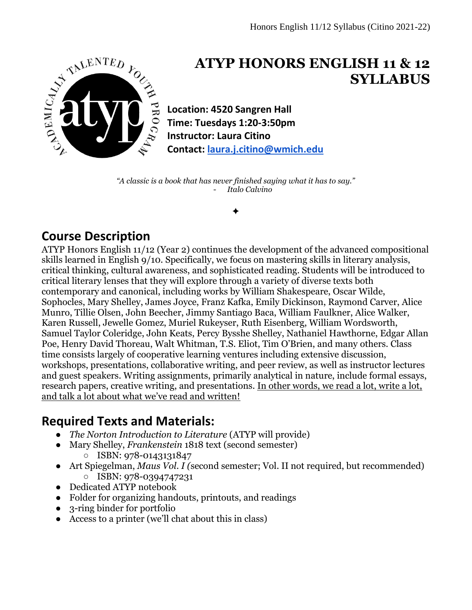

# **ATYP HONORS ENGLISH 11 & 12 SYLLABUS**

**Location: 4520 Sangren Hall Time: Tuesdays 1:20-3:50pm Instructor: Laura Citino Contact: [laura.j.citino@wmich.edu](mailto:laura.j.citino@wmich.edu)**

*"A classic is a book that has never finished saying what it has to say."* - *Italo Calvino*

✦

## **Course Description**

ATYP Honors English 11/12 (Year 2) continues the development of the advanced compositional skills learned in English 9/10. Specifically, we focus on mastering skills in literary analysis, critical thinking, cultural awareness, and sophisticated reading. Students will be introduced to critical literary lenses that they will explore through a variety of diverse texts both contemporary and canonical, including works by William Shakespeare, Oscar Wilde, Sophocles, Mary Shelley, James Joyce, Franz Kafka, Emily Dickinson, Raymond Carver, Alice Munro, Tillie Olsen, John Beecher, Jimmy Santiago Baca, William Faulkner, Alice Walker, Karen Russell, Jewelle Gomez, Muriel Rukeyser, Ruth Eisenberg, William Wordsworth, Samuel Taylor Coleridge, John Keats, Percy Bysshe Shelley, Nathaniel Hawthorne, Edgar Allan Poe, Henry David Thoreau, Walt Whitman, T.S. Eliot, Tim O'Brien, and many others. Class time consists largely of cooperative learning ventures including extensive discussion, workshops, presentations, collaborative writing, and peer review, as well as instructor lectures and guest speakers. Writing assignments, primarily analytical in nature, include formal essays, research papers, creative writing, and presentations. In other words, we read a lot, write a lot, and talk a lot about what we've read and written!

## **Required Texts and Materials:**

- *The Norton Introduction to Literature* (ATYP will provide)
- Mary Shelley, *Frankenstein* 1818 text (second semester) ○ ISBN: 978-0143131847
- Art Spiegelman, *Maus Vol. I (*second semester; Vol. II not required, but recommended) ○ ISBN: 978-0394747231
- Dedicated ATYP notebook
- Folder for organizing handouts, printouts, and readings
- 3-ring binder for portfolio
- Access to a printer (we'll chat about this in class)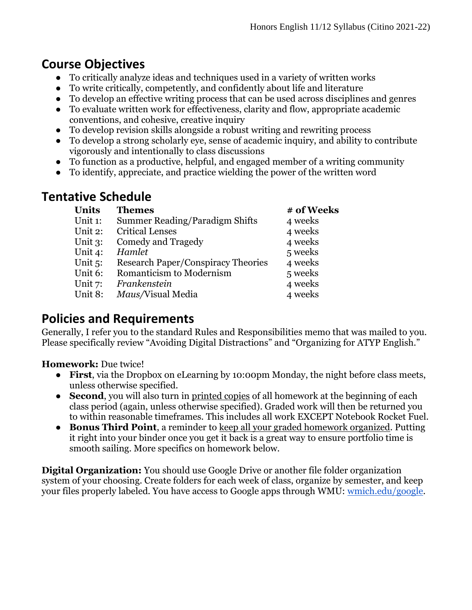## **Course Objectives**

- To critically analyze ideas and techniques used in a variety of written works
- To write critically, competently, and confidently about life and literature
- To develop an effective writing process that can be used across disciplines and genres
- To evaluate written work for effectiveness, clarity and flow, appropriate academic conventions, and cohesive, creative inquiry
- To develop revision skills alongside a robust writing and rewriting process
- To develop a strong scholarly eye, sense of academic inquiry, and ability to contribute vigorously and intentionally to class discussions
- To function as a productive, helpful, and engaged member of a writing community
- To identify, appreciate, and practice wielding the power of the written word

## **Tentative Schedule**

| <b>Themes</b>                             | # of Weeks |
|-------------------------------------------|------------|
| Summer Reading/Paradigm Shifts            | 4 weeks    |
| <b>Critical Lenses</b>                    | 4 weeks    |
| Comedy and Tragedy                        | 4 weeks    |
| Hamlet                                    | 5 weeks    |
| <b>Research Paper/Conspiracy Theories</b> | 4 weeks    |
| Romanticism to Modernism                  | 5 weeks    |
| Frankenstein                              | 4 weeks    |
| Maus/Visual Media                         | 4 weeks    |
|                                           |            |

## **Policies and Requirements**

Generally, I refer you to the standard Rules and Responsibilities memo that was mailed to you. Please specifically review "Avoiding Digital Distractions" and "Organizing for ATYP English."

**Homework:** Due twice!

- **First**, via the Dropbox on eLearning by 10:00pm Monday, the night before class meets, unless otherwise specified.
- **Second**, you will also turn in printed copies of all homework at the beginning of each class period (again, unless otherwise specified). Graded work will then be returned you to within reasonable timeframes. This includes all work EXCEPT Notebook Rocket Fuel.
- **Bonus Third Point**, a reminder to keep all your graded homework organized. Putting it right into your binder once you get it back is a great way to ensure portfolio time is smooth sailing. More specifics on homework below.

**Digital Organization:** You should use Google Drive or another file folder organization system of your choosing. Create folders for each week of class, organize by semester, and keep your files properly labeled. You have access to Google apps through WMU: [wmich.edu/google.](https://wmich.edu/google)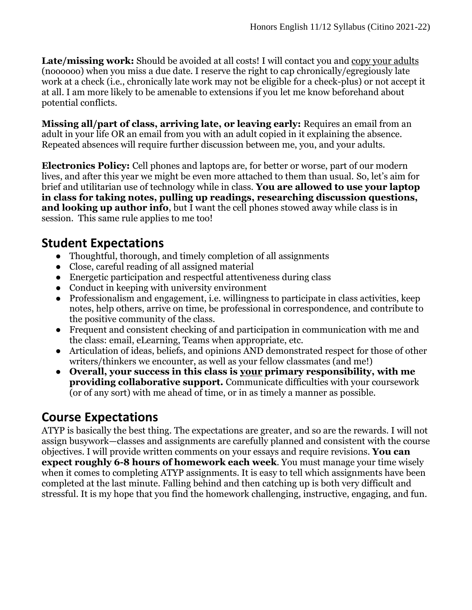Late/missing work: Should be avoided at all costs! I will contact you and copy your adults (noooooo) when you miss a due date. I reserve the right to cap chronically/egregiously late work at a check (i.e., chronically late work may not be eligible for a check-plus) or not accept it at all. I am more likely to be amenable to extensions if you let me know beforehand about potential conflicts.

**Missing all/part of class, arriving late, or leaving early:** Requires an email from an adult in your life OR an email from you with an adult copied in it explaining the absence. Repeated absences will require further discussion between me, you, and your adults.

**Electronics Policy:** Cell phones and laptops are, for better or worse, part of our modern lives, and after this year we might be even more attached to them than usual. So, let's aim for brief and utilitarian use of technology while in class. **You are allowed to use your laptop in class for taking notes, pulling up readings, researching discussion questions, and looking up author info**, but I want the cell phones stowed away while class is in session. This same rule applies to me too!

### **Student Expectations**

- Thoughtful, thorough, and timely completion of all assignments
- Close, careful reading of all assigned material
- Energetic participation and respectful attentiveness during class
- Conduct in keeping with university environment
- Professionalism and engagement, i.e. willingness to participate in class activities, keep notes, help others, arrive on time, be professional in correspondence, and contribute to the positive community of the class.
- Frequent and consistent checking of and participation in communication with me and the class: email, eLearning, Teams when appropriate, etc.
- Articulation of ideas, beliefs, and opinions AND demonstrated respect for those of other writers/thinkers we encounter, as well as your fellow classmates (and me!)
- **Overall, your success in this class is your primary responsibility, with me providing collaborative support.** Communicate difficulties with your coursework (or of any sort) with me ahead of time, or in as timely a manner as possible.

## **Course Expectations**

ATYP is basically the best thing. The expectations are greater, and so are the rewards. I will not assign busywork—classes and assignments are carefully planned and consistent with the course objectives. I will provide written comments on your essays and require revisions. **You can expect roughly 6-8 hours of homework each week**. You must manage your time wisely when it comes to completing ATYP assignments. It is easy to tell which assignments have been completed at the last minute. Falling behind and then catching up is both very difficult and stressful. It is my hope that you find the homework challenging, instructive, engaging, and fun.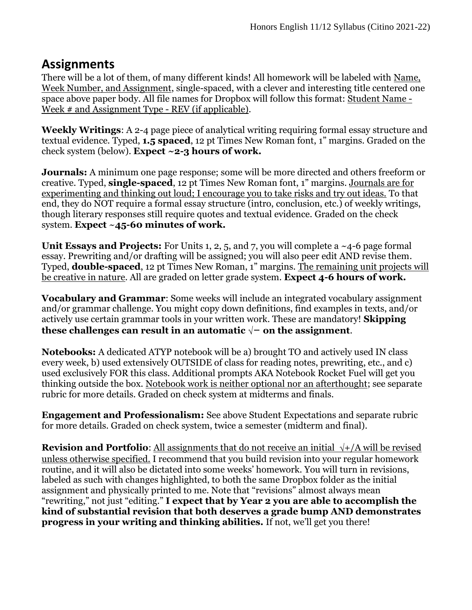### **Assignments**

There will be a lot of them, of many different kinds! All homework will be labeled with Name, Week Number, and Assignment, single-spaced, with a clever and interesting title centered one space above paper body. All file names for Dropbox will follow this format: Student Name - Week # and Assignment Type - REV (if applicable).

**Weekly Writings**: A 2-4 page piece of analytical writing requiring formal essay structure and textual evidence. Typed, **1.5 spaced**, 12 pt Times New Roman font, 1" margins. Graded on the check system (below). **Expect ~2-3 hours of work.**

**Journals:** A minimum one page response; some will be more directed and others freeform or creative. Typed, **single-spaced**, 12 pt Times New Roman font, 1" margins. Journals are for experimenting and thinking out loud; I encourage you to take risks and try out ideas. To that end, they do NOT require a formal essay structure (intro, conclusion, etc.) of weekly writings, though literary responses still require quotes and textual evidence. Graded on the check system. **Expect** ~**45-60 minutes of work.**

**Unit Essays and Projects:** For Units 1, 2, 5, and 7, you will complete a ~4-6 page formal essay. Prewriting and/or drafting will be assigned; you will also peer edit AND revise them. Typed, **double-spaced**, 12 pt Times New Roman, 1" margins. The remaining unit projects will be creative in nature. All are graded on letter grade system. **Expect 4-6 hours of work.** 

**Vocabulary and Grammar**: Some weeks will include an integrated vocabulary assignment and/or grammar challenge. You might copy down definitions, find examples in texts, and/or actively use certain grammar tools in your written work. These are mandatory! **Skipping these challenges can result in an automatic**  $√-$  **on the assignment.** 

**Notebooks:** A dedicated ATYP notebook will be a) brought TO and actively used IN class every week, b) used extensively OUTSIDE of class for reading notes, prewriting, etc., and c) used exclusively FOR this class. Additional prompts AKA Notebook Rocket Fuel will get you thinking outside the box. Notebook work is neither optional nor an afterthought; see separate rubric for more details. Graded on check system at midterms and finals.

**Engagement and Professionalism:** See above Student Expectations and separate rubric for more details. Graded on check system, twice a semester (midterm and final).

**Revision and Portfolio:** All assignments that do not receive an initial  $\sqrt{\frac{1}{A}}$  will be revised unless otherwise specified. I recommend that you build revision into your regular homework routine, and it will also be dictated into some weeks' homework. You will turn in revisions, labeled as such with changes highlighted, to both the same Dropbox folder as the initial assignment and physically printed to me. Note that "revisions" almost always mean "rewriting," not just "editing." **I expect that by Year 2 you are able to accomplish the kind of substantial revision that both deserves a grade bump AND demonstrates progress in your writing and thinking abilities.** If not, we'll get you there!